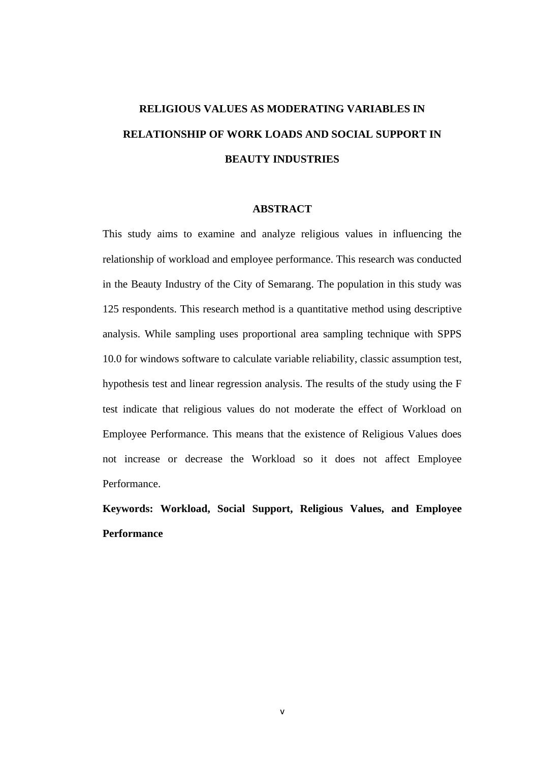## **RELIGIOUS VALUES AS MODERATING VARIABLES IN RELATIONSHIP OF WORK LOADS AND SOCIAL SUPPORT IN BEAUTY INDUSTRIES**

## **ABSTRACT**

This study aims to examine and analyze religious values in influencing the relationship of workload and employee performance. This research was conducted in the Beauty Industry of the City of Semarang. The population in this study was 125 respondents. This research method is a quantitative method using descriptive analysis. While sampling uses proportional area sampling technique with SPPS 10.0 for windows software to calculate variable reliability, classic assumption test, hypothesis test and linear regression analysis. The results of the study using the F test indicate that religious values do not moderate the effect of Workload on Employee Performance. This means that the existence of Religious Values does not increase or decrease the Workload so it does not affect Employee Performance.

**Keywords: Workload, Social Support, Religious Values, and Employee Performance**